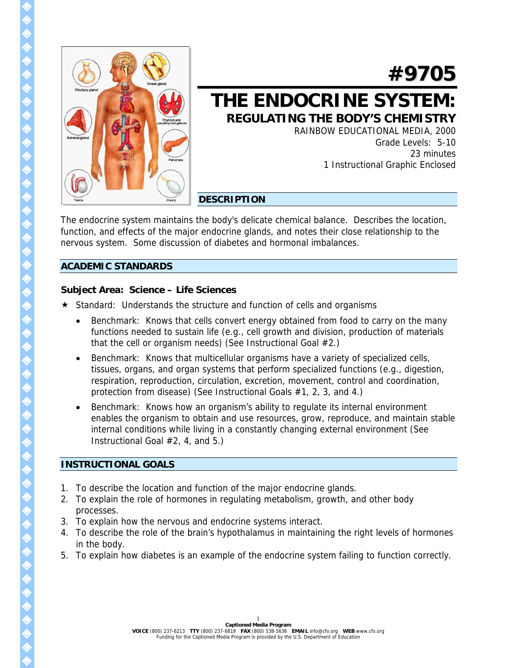

# **#9705**

# **THE ENDOCRINE SYSTEM: REGULATING THE BODY'S CHEMISTRY**

RAINBOW EDUCATIONAL MEDIA, 2000 Grade Levels: 5-10 23 minutes 1 Instructional Graphic Enclosed

# **DESCRIPTION**

The endocrine system maintains the body's delicate chemical balance. Describes the location, function, and effects of the major endocrine glands, and notes their close relationship to the nervous system. Some discussion of diabetes and hormonal imbalances.

# **ACADEMIC STANDARDS**

# **Subject Area: Science – Life Sciences**

- \* Standard: Understands the structure and function of cells and organisms
	- Benchmark: Knows that cells convert energy obtained from food to carry on the many functions needed to sustain life (e.g., cell growth and division, production of materials that the cell or organism needs) (See Instructional Goal #2.)
	- Benchmark: Knows that multicellular organisms have a variety of specialized cells, tissues, organs, and organ systems that perform specialized functions (e.g., digestion, respiration, reproduction, circulation, excretion, movement, control and coordination, protection from disease) (See Instructional Goals #1, 2, 3, and 4.)
	- Benchmark: Knows how an organism's ability to regulate its internal environment enables the organism to obtain and use resources, grow, reproduce, and maintain stable internal conditions while living in a constantly changing external environment (See Instructional Goal #2, 4, and 5.)

# **INSTRUCTIONAL GOALS**

- 1. To describe the location and function of the major endocrine glands.
- 2. To explain the role of hormones in regulating metabolism, growth, and other body processes.
- 3. To explain how the nervous and endocrine systems interact.
- 4. To describe the role of the brain's hypothalamus in maintaining the right levels of hormones in the body.
- 5. To explain how diabetes is an example of the endocrine system failing to function correctly.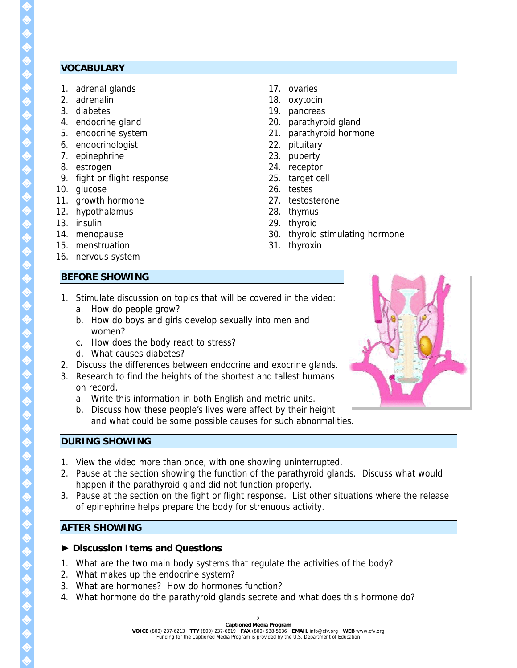#### **VOCABULARY**

- 1. adrenal glands
- 2. adrenalin
- 3. diabetes
- 4. endocrine gland
- 5. endocrine system
- 6. endocrinologist
- 7. epinephrine
- 8. estrogen
- 9. fight or flight response
- 10. glucose
- 11. growth hormone
- 12. hypothalamus
- 13. insulin
- 14. menopause
- 15. menstruation
- 16. nervous system

#### **BEFORE SHOWING**

- 17. ovaries
- 18. oxytocin
- 19. pancreas
- 20. parathyroid gland
- 21. parathyroid hormone
- 22. pituitary
- 23. puberty
- 24. receptor
- 25. target cell
- 26. testes
- 27. testosterone
- 28. thymus
- 29. thyroid
- 30. thyroid stimulating hormone
- 31. thyroxin
- 1. Stimulate discussion on topics that will be covered in the video:
	- a. How do people grow?
	- b. How do boys and girls develop sexually into men and women?
	- c. How does the body react to stress?
	- d. What causes diabetes?
- 2. Discuss the differences between endocrine and exocrine glands.
- 3. Research to find the heights of the shortest and tallest humans on record.
	- a. Write this information in both English and metric units.
	- b. Discuss how these people's lives were affect by their height and what could be some possible causes for such abnormalities.



#### **DURING SHOWING**

- 1. View the video more than once, with one showing uninterrupted.
- 2. Pause at the section showing the function of the parathyroid glands. Discuss what would happen if the parathyroid gland did not function properly.
- 3. Pause at the section on the fight or flight response. List other situations where the release of epinephrine helps prepare the body for strenuous activity.

## **AFTER SHOWING**

#### **► Discussion Items and Questions**

- 1. What are the two main body systems that regulate the activities of the body?
- 2. What makes up the endocrine system?
- 3. What are hormones? How do hormones function?
- 4. What hormone do the parathyroid glands secrete and what does this hormone do?

 $\hat{\mathbf{\diamond}}$  $\hat{\diamond}$  $\hat{\mathbf{Q}}$ ♦ ♦ ♦  $\hat{\textbf{Q}}$  $\hat{\textbf{Q}}$  $\hat{\textbf{Q}}$  $\hat{\textbf{Q}}$  $\hat{\textbf{Q}}$ ♦ ♦ ♦ ♦  $\hat{\textbf{Q}}$  $\hat{\textbf{Q}}$  $\hat{\textbf{Q}}$  $\hat{\textbf{Q}}$  $\hat{\bm{\Diamond}}$ ♦ ♦ ♦  $\hat{\textbf{Q}}$ ♦ ♦ ♦ ♦ ♦ ♦  $\hat{\diamond}$ ♦ ♦ E<br>E ♦ ♦ ♦  $\hat{\textbf{Q}}$ ♦  $\hat{\mathbf{Q}}$ ♦ ♦

> ♦ ♦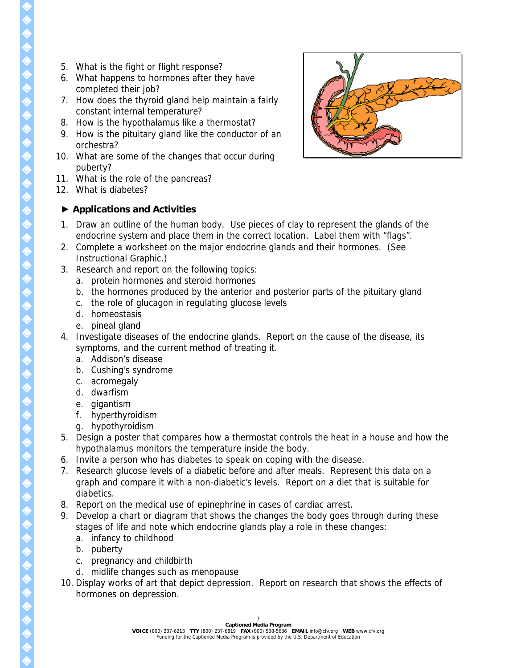- 5. What is the fight or flight response?
- 6. What happens to hormones after they have completed their job?
- 7. How does the thyroid gland help maintain a fairly constant internal temperature?
- 8. How is the hypothalamus like a thermostat?
- 9. How is the pituitary gland like the conductor of an orchestra?
- 10. What are some of the changes that occur during puberty?
- 11. What is the role of the pancreas?
- 12. What is diabetes?

# **► Applications and Activities**

- 1. Draw an outline of the human body. Use pieces of clay to represent the glands of the endocrine system and place them in the correct location. Label them with "flags".
- 2. Complete a worksheet on the major endocrine glands and their hormones. (See Instructional Graphic.)
- 3. Research and report on the following topics:
	- a. protein hormones and steroid hormones
	- b. the hormones produced by the anterior and posterior parts of the pituitary gland
	- c. the role of glucagon in regulating glucose levels
	- d. homeostasis
	- e. pineal gland
- 4. Investigate diseases of the endocrine glands. Report on the cause of the disease, its symptoms, and the current method of treating it.
	- a. Addison's disease
	- b. Cushing's syndrome
	- c. acromegaly
	- d. dwarfism
	- e. gigantism
	- f. hyperthyroidism
	- g. hypothyroidism
- 5. Design a poster that compares how a thermostat controls the heat in a house and how the hypothalamus monitors the temperature inside the body.
- 6. Invite a person who has diabetes to speak on coping with the disease.
- 7. Research glucose levels of a diabetic before and after meals. Represent this data on a graph and compare it with a non-diabetic's levels. Report on a diet that is suitable for diabetics.
- 8. Report on the medical use of epinephrine in cases of cardiac arrest.
- 9. Develop a chart or diagram that shows the changes the body goes through during these stages of life and note which endocrine glands play a role in these changes:
	- a. infancy to childhood
	- b. puberty
	- c. pregnancy and childbirth
	- d. midlife changes such as menopause
- 10. Display works of art that depict depression. Report on research that shows the effects of hormones on depression.

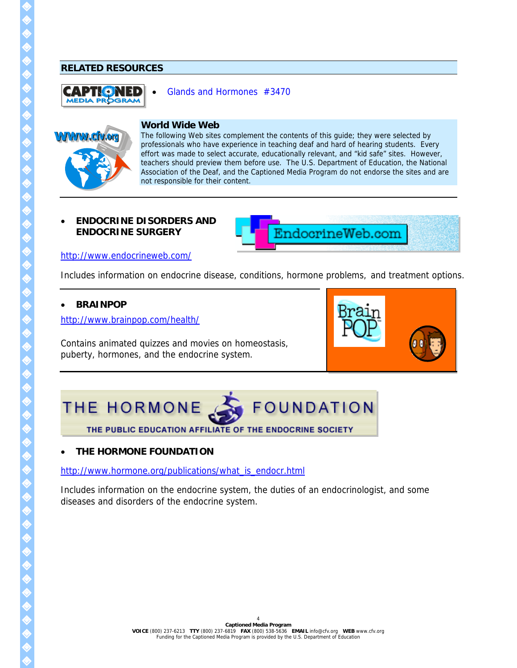#### **RELATED RESOURCES**



#### • [Glands and Hormones #3470](http://www.cfv.org/titledetail.asp?dn=3470)



## **World Wide Web**

The following Web sites complement the contents of this guide; they were selected by professionals who have experience in teaching deaf and hard of hearing students. Every effort was made to select accurate, educationally relevant, and "kid safe" sites. However, teachers should preview them before use. The U.S. Department of Education, the National Association of the Deaf, and the Captioned Media Program do not endorse the sites and are not responsible for their content.

#### • **ENDOCRINE DISORDERS AND ENDOCRINE SURGERY**



<http://www.endocrineweb.com/>

Includes information on endocrine disease, conditions, hormone problems, and treatment options.

#### • **BRAINPOP**

<http://www.brainpop.com/health/>

Contains animated quizzes and movies on homeostasis, puberty, hormones, and the endocrine system.





## • **THE HORMONE FOUNDATION**

[http://www.hormone.org/publications/what\\_is\\_endocr.html](http://www.hormone.org/publications/what_is_endocr.html)

Includes information on the endocrine system, the duties of an endocrinologist, and some diseases and disorders of the endocrine system.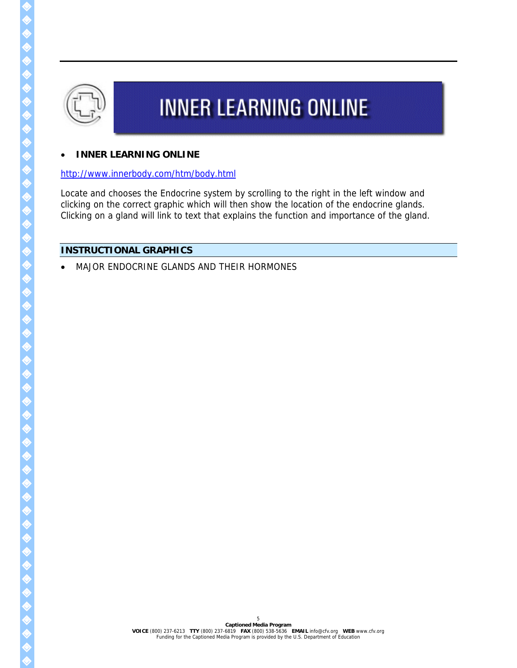

# **INNER LEARNING ONLINE**

#### • **INNER LEARNING ONLINE**

#### <http://www.innerbody.com/htm/body.html>

Locate and chooses the Endocrine system by scrolling to the right in the left window and clicking on the correct graphic which will then show the location of the endocrine glands. Clicking on a gland will link to text that explains the function and importance of the gland.

5

# **INSTRUCTIONAL GRAPHICS**

• MAJOR ENDOCRINE GLANDS AND THEIR HORMONES

 $\hat{\bm{\diamond}}$